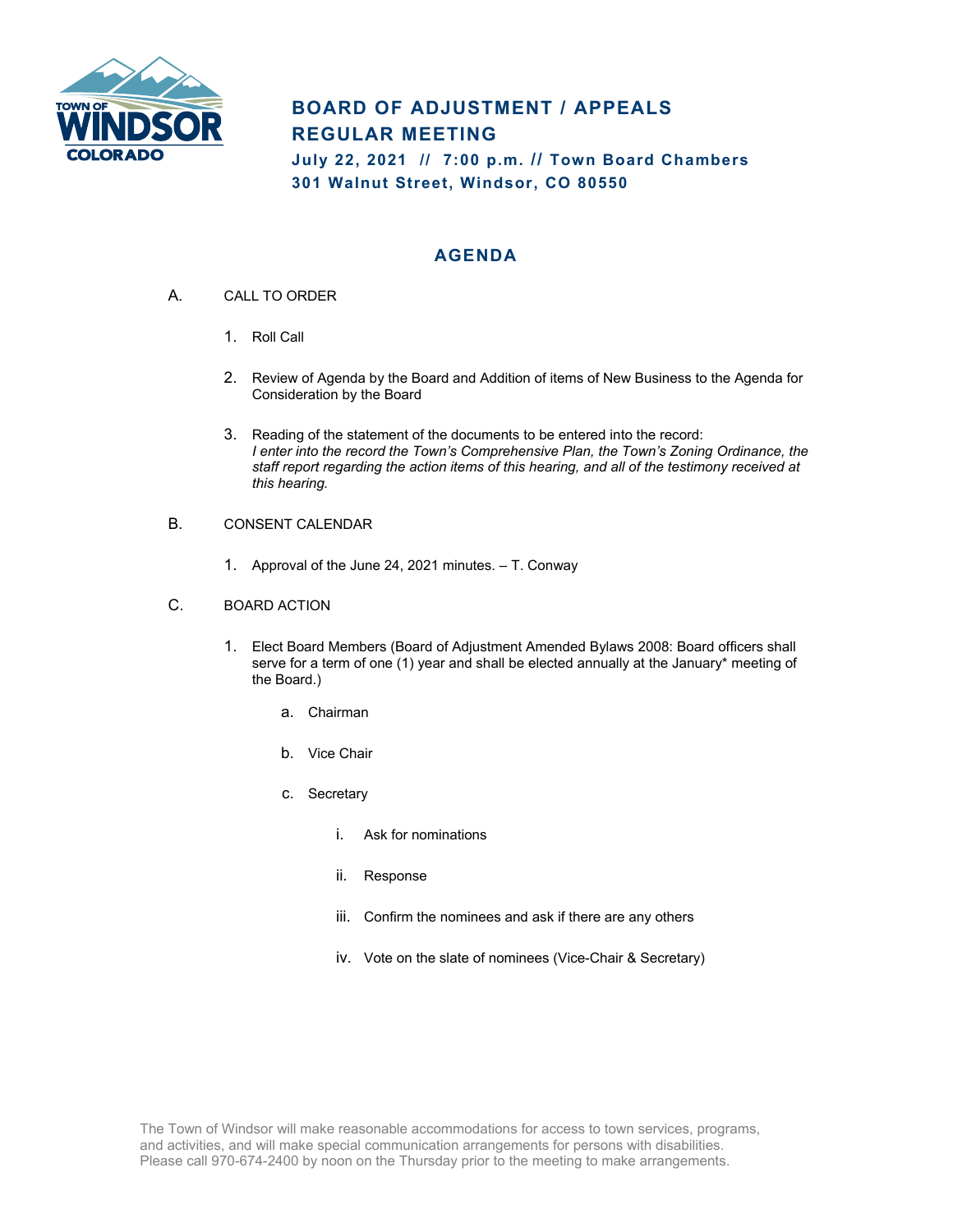

## **BOARD OF ADJUSTMENT / APPEALS REGULAR MEETING**

**July 22, 2021 // 7:00 p.m. // Town Board Chambers 301 Walnut Street, Windsor, CO 80550**

## **AGENDA**

- A. CALL TO ORDER
	- 1. Roll Call
	- 2. Review of Agenda by the Board and Addition of items of New Business to the Agenda for Consideration by the Board
	- 3. Reading of the statement of the documents to be entered into the record: *I enter into the record the Town's Comprehensive Plan, the Town's Zoning Ordinance, the staff report regarding the action items of this hearing, and all of the testimony received at this hearing.*
- B. CONSENT CALENDAR
	- 1. Approval of the June 24, 2021 minutes. T. Conway
- C. BOARD ACTION
	- 1. Elect Board Members (Board of Adjustment Amended Bylaws 2008: Board officers shall serve for a term of one (1) year and shall be elected annually at the January\* meeting of the Board.)
		- a. Chairman
		- b. Vice Chair
		- c. Secretary
			- i. Ask for nominations
			- ii. Response
			- iii. Confirm the nominees and ask if there are any others
			- iv. Vote on the slate of nominees (Vice-Chair & Secretary)